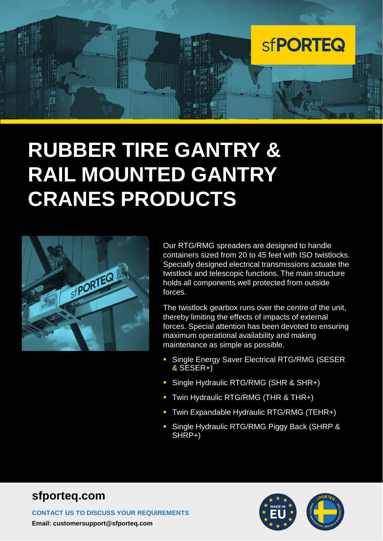

# **RUBBER TIRE GANTRY & RAIL MOUNTED GANTRY CRANES PRODUCTS**



Our RTG/RMG spreaders are designed to handle containers sized from 20 to 45 feet with ISO twistlocks. Specially designed electrical transmissions actuate the twistlock and telescopic functions. The main structure holds all components well protected from outside forces.

The twistlock gearbox runs over the centre of the unit, thereby limiting the effects of impacts of external forces. Special attention has been devoted to ensuring maximum operational availability and making maintenance as simple as possible.

- **· Single Energy Saver Electrical RTG/RMG (SESER)** & SESER+)
- **·** Single Hydraulic RTG/RMG (SHR & SHR+)
- Twin Hydraulic RTG/RMG (THR & THR+)
- Twin Expandable Hydraulic RTG/RMG (TEHR+)
- **· Single Hydraulic RTG/RMG Piggy Back (SHRP &** SHRP+)

#### **sfporteq.com**

**CONTACT US TO DISCUSS YOUR REQUIREMENTS Email: customersupport@sfporteq.com**

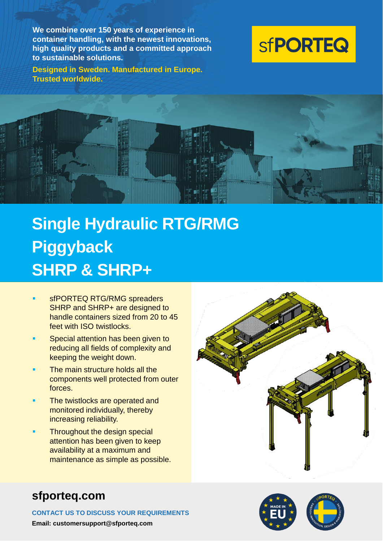**We combine over 150 years of experience in container handling, with the newest innovations, high quality products and a committed approach to sustainable solutions.**

**Designed in Sweden. Manufactured in Europe. Trusted worldwide.**





## **Single Hydraulic RTG/RMG Piggyback SHRP & SHRP+**

- sfPORTEQ RTG/RMG spreaders SHRP and SHRP+ are designed to handle containers sized from 20 to 45 feet with ISO twistlocks.
- Special attention has been given to reducing all fields of complexity and keeping the weight down.
- The main structure holds all the components well protected from outer forces.
- The twistlocks are operated and monitored individually, thereby increasing reliability.
- Throughout the design special attention has been given to keep availability at a maximum and maintenance as simple as possible.



#### **sfporteq.com**

**CONTACT US TO DISCUSS YOUR REQUIREMENTS**

**Email: customersupport@sfporteq.com**